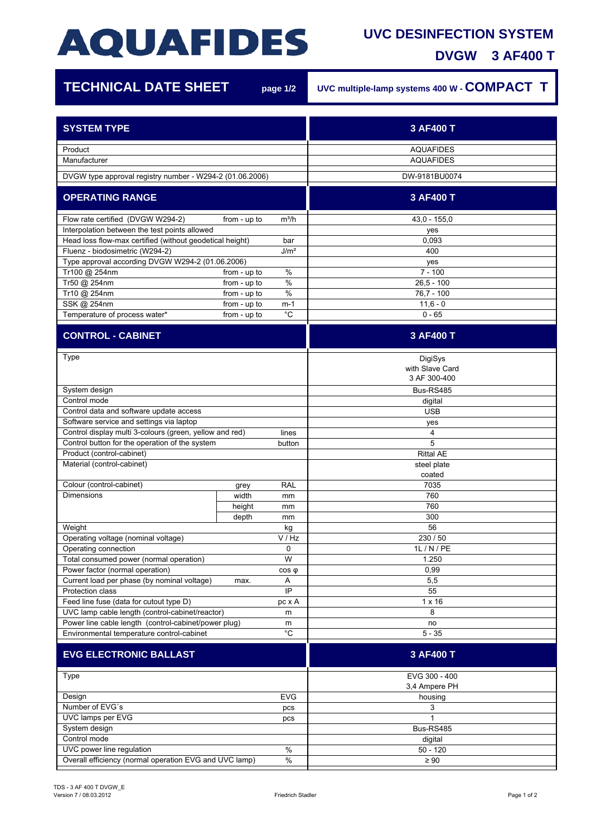## **AQUAFIDES**

## **UVC DESINFECTION SYSTEM**

**DVGW 3 AF400 T**

7

| <b>TECHNICAL DATE SHEET</b>                                                        |              | page 1/2     | UVC multiple-lamp systems 400 W - COMPACT T |
|------------------------------------------------------------------------------------|--------------|--------------|---------------------------------------------|
| <b>SYSTEM TYPE</b>                                                                 |              |              | 3 AF400 T                                   |
| Product                                                                            |              |              | <b>AQUAFIDES</b>                            |
| Manufacturer<br>DVGW type approval registry number - W294-2 (01.06.2006)           |              |              | <b>AQUAFIDES</b><br>DW-9181BU0074           |
| <b>OPERATING RANGE</b>                                                             |              |              | 3 AF400 T                                   |
|                                                                                    |              |              |                                             |
| Flow rate certified (DVGW W294-2)<br>Interpolation between the test points allowed | from - up to | $m^3/h$      | $43,0 - 155,0$<br>yes                       |
| Head loss flow-max certified (without geodetical height)<br>bar                    |              |              | 0,093                                       |
| Fluenz - biodosimetric (W294-2)<br>J/m <sup>2</sup>                                |              |              | 400                                         |
| Type approval according DVGW W294-2 (01.06.2006)                                   |              |              | yes                                         |
| Tr100 @ 254nm                                                                      | from - up to | $\%$         | $7 - 100$                                   |
| Tr50 @ 254nm                                                                       | from - up to | $\%$         | $26,5 - 100$                                |
| Tr10 @ 254nm                                                                       | from - up to | $\%$         | $76,7 - 100$                                |
| SSK @ 254nm                                                                        | from - up to | $m-1$        | $11,6 - 0$                                  |
| Temperature of process water*                                                      | from - up to | $^{\circ}$ C | $0 - 65$                                    |
| <b>CONTROL - CABINET</b>                                                           |              |              | 3 AF400 T                                   |
|                                                                                    |              |              |                                             |
| Type                                                                               |              |              | DigiSys<br>with Slave Card<br>3 AF 300-400  |
| System design                                                                      |              |              | Bus-RS485                                   |
| Control mode                                                                       |              |              | digital                                     |
| Control data and software update access                                            |              |              | <b>USB</b>                                  |
| Software service and settings via laptop                                           |              |              | yes                                         |
| Control display multi 3-colours (green, yellow and red)<br>lines                   |              |              | 4                                           |
| Control button for the operation of the system<br>button                           |              |              | 5                                           |
| Product (control-cabinet)                                                          |              |              | <b>Rittal AE</b>                            |
| Material (control-cabinet)                                                         |              |              | steel plate<br>coated                       |
| Colour (control-cabinet)                                                           | grey         | <b>RAL</b>   | 7035                                        |
| <b>Dimensions</b>                                                                  | width        | mm           | 760                                         |
|                                                                                    | height       | mm           | 760                                         |
|                                                                                    | depth        | mm           | 300                                         |
| Weight                                                                             |              | kg           | 56                                          |
| Operating voltage (nominal voltage)                                                |              | V / Hz       | 230 / 50                                    |
| Operating connection                                                               |              | 0<br>W       | 1L / N / PE                                 |
| Total consumed power (normal operation)<br>Power factor (normal operation)         |              | $cos \phi$   | 1.250<br>0,99                               |
| Current load per phase (by nominal voltage)                                        | max.         | A            | 5,5                                         |
| Protection class                                                                   |              | IP           | 55                                          |
| Feed line fuse (data for cutout type D)                                            |              | pc x A       | $1 \times 16$                               |
| UVC lamp cable length (control-cabinet/reactor)                                    |              | m            | 8                                           |
| Power line cable length (control-cabinet/power plug)<br>m                          |              |              | no                                          |
| $^{\circ}C$<br>Environmental temperature control-cabinet                           |              |              | $5 - 35$                                    |
| <b>EVG ELECTRONIC BALLAST</b>                                                      |              |              | 3 AF400 T                                   |
| Type                                                                               |              |              | EVG 300 - 400                               |
|                                                                                    |              |              | 3,4 Ampere PH                               |
| <b>EVG</b><br>Design                                                               |              |              | housing                                     |
| Number of EVG's<br>pcs                                                             |              |              | 3                                           |
| UVC lamps per EVG<br>pcs                                                           |              |              | 1                                           |
| System design<br>Control mode                                                      |              |              | Bus-RS485                                   |
| UVC power line regulation<br>$\%$                                                  |              |              | digital<br>$50 - 120$                       |
| Overall efficiency (normal operation EVG and UVC lamp)<br>$\%$                     |              |              | $\geq 90$                                   |
|                                                                                    |              |              |                                             |